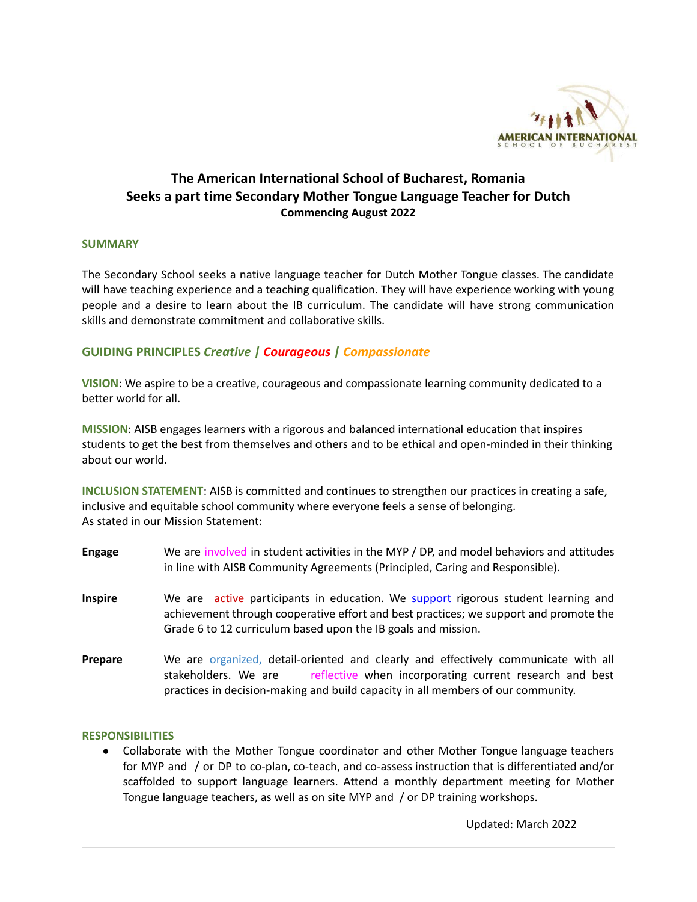

# **The American International School of Bucharest, Romania Seeks a part time Secondary Mother Tongue Language Teacher for Dutch Commencing August 2022**

#### **SUMMARY**

The Secondary School seeks a native language teacher for Dutch Mother Tongue classes. The candidate will have teaching experience and a teaching qualification. They will have experience working with young people and a desire to learn about the IB curriculum. The candidate will have strong communication skills and demonstrate commitment and collaborative skills.

## **GUIDING PRINCIPLES** *Creative | Courageous | Compassionate*

**VISION**: We aspire to be a creative, courageous and compassionate learning community dedicated to a better world for all.

**MISSION**: AISB engages learners with a rigorous and balanced international education that inspires students to get the best from themselves and others and to be ethical and open-minded in their thinking about our world.

**INCLUSION STATEMENT**: AISB is committed and continues to strengthen our practices in creating a safe, inclusive and equitable school community where everyone feels a sense of belonging. As stated in our Mission Statement:

- **Engage** We are involved in student activities in the MYP / DP, and model behaviors and attitudes in line with AISB Community Agreements (Principled, Caring and Responsible).
- **Inspire** We are active participants in education. We support rigorous student learning and achievement through cooperative effort and best practices; we support and promote the Grade 6 to 12 curriculum based upon the IB goals and mission.
- Prepare We are organized, detail-oriented and clearly and effectively communicate with all stakeholders. We are reflective when incorporating current research and best practices in decision-making and build capacity in all members of our community.

#### **RESPONSIBILITIES**

● Collaborate with the Mother Tongue coordinator and other Mother Tongue language teachers for MYP and / or DP to co-plan, co-teach, and co-assess instruction that is differentiated and/or scaffolded to support language learners. Attend a monthly department meeting for Mother Tongue language teachers, as well as on site MYP and / or DP training workshops.

Updated: March 2022